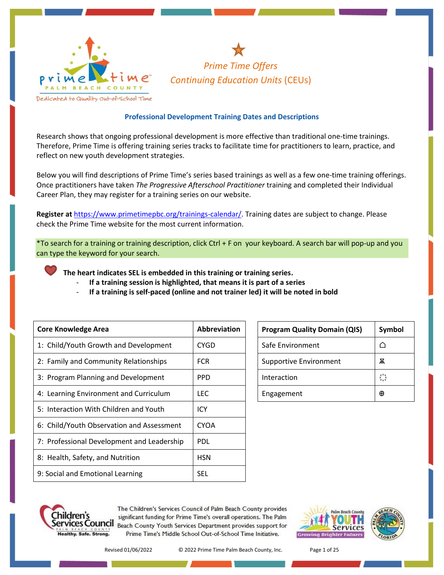



Dedicated to Quality Out-of-School Time

## **Professional Development Training Dates and Descriptions**

Research shows that ongoing professional development is more effective than traditional one-time trainings. Therefore, Prime Time is offering training series tracks to facilitate time for practitioners to learn, practice, and reflect on new youth development strategies.

Below you will find descriptions of Prime Time's series based trainings as well as a few one-time training offerings. Once practitioners have taken *The Progressive Afterschool Practitioner* training and completed their Individual Career Plan, they may register for a training series on our website.

**Register at** [https://www.primetimepbc.org/trainings-calendar/.](https://www.primetimepbc.org/trainings-calendar/) Training dates are subject to change. Please check the Prime Time website for the most current information.

\*To search for a training or training description, click Ctrl + F on your keyboard. A search bar will pop-up and you can type the keyword for your search.

**The heart indicates SEL is embedded in this training or training series.**

- If a training session is highlighted, that means it is part of a series
- **If a training is self-paced (online and not trainer led) it will be noted in bold**

| <b>Core Knowledge Area</b>                 | Abbreviation |
|--------------------------------------------|--------------|
| 1: Child/Youth Growth and Development      | CYGD         |
| 2: Family and Community Relationships      | <b>FCR</b>   |
| 3: Program Planning and Development        | <b>PPD</b>   |
| 4: Learning Environment and Curriculum     | <b>LEC</b>   |
| 5: Interaction With Children and Youth     | ICY          |
| 6: Child/Youth Observation and Assessment  | <b>CYOA</b>  |
| 7: Professional Development and Leadership | <b>PDL</b>   |
| 8: Health, Safety, and Nutrition           | <b>HSN</b>   |
| 9: Social and Emotional Learning           | <b>SEL</b>   |

| <b>Program Quality Domain (QIS)</b> | Symbol |
|-------------------------------------|--------|
| Safe Environment                    |        |
| <b>Supportive Environment</b>       | ѫ      |
| Interaction                         |        |
| Engagement                          | Æ      |



The Children's Services Council of Palm Beach County provides significant funding for Prime Time's overall operations. The Palm **ETVICES COUNCIL** Beach County Youth Services Department provides support for Prime Time's Middle School Out-of-School Time Initiative.



Revised 01/06/2022 © 2022 Prime Time Palm Beach County, Inc. Page 1 of 25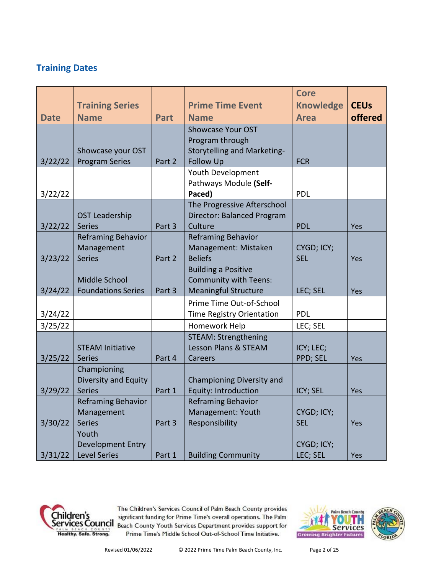# **Training Dates**

|             | <b>Training Series</b>    |             | <b>Prime Time Event</b>                      | <b>Core</b><br><b>Knowledge</b> | <b>CEUs</b> |
|-------------|---------------------------|-------------|----------------------------------------------|---------------------------------|-------------|
| <b>Date</b> | <b>Name</b>               | <b>Part</b> | <b>Name</b><br><b>Showcase Your OST</b>      | <b>Area</b>                     | offered     |
|             |                           |             | Program through                              |                                 |             |
|             | Showcase your OST         |             | <b>Storytelling and Marketing-</b>           |                                 |             |
| 3/22/22     | <b>Program Series</b>     | Part 2      | <b>Follow Up</b>                             | <b>FCR</b>                      |             |
|             |                           |             | Youth Development                            |                                 |             |
|             |                           |             | Pathways Module (Self-                       |                                 |             |
| 3/22/22     |                           |             | Paced)<br>The Progressive Afterschool        | PDL                             |             |
|             | <b>OST Leadership</b>     |             | Director: Balanced Program                   |                                 |             |
| 3/22/22     | <b>Series</b>             | Part 3      | Culture                                      | <b>PDL</b>                      | Yes         |
|             | <b>Reframing Behavior</b> |             | <b>Reframing Behavior</b>                    |                                 |             |
|             | Management                |             | Management: Mistaken                         | CYGD; ICY;                      |             |
| 3/23/22     | <b>Series</b>             | Part 2      | <b>Beliefs</b>                               | <b>SEL</b>                      | Yes         |
|             |                           |             | <b>Building a Positive</b>                   |                                 |             |
|             | Middle School             |             | <b>Community with Teens:</b>                 |                                 |             |
| 3/24/22     | <b>Foundations Series</b> | Part 3      | <b>Meaningful Structure</b>                  | LEC; SEL                        | Yes         |
|             |                           |             | Prime Time Out-of-School                     | <b>PDL</b>                      |             |
| 3/24/22     |                           |             | Time Registry Orientation                    | LEC; SEL                        |             |
| 3/25/22     |                           |             | Homework Help<br><b>STEAM: Strengthening</b> |                                 |             |
|             | <b>STEAM Initiative</b>   |             | Lesson Plans & STEAM                         | ICY; LEC;                       |             |
| 3/25/22     | <b>Series</b>             | Part 4      | Careers                                      | PPD; SEL                        | Yes         |
|             | Championing               |             |                                              |                                 |             |
|             | Diversity and Equity      |             | Championing Diversity and                    |                                 |             |
| 3/29/22     | <b>Series</b>             | Part 1      | Equity: Introduction                         | ICY; SEL                        | Yes         |
|             | <b>Reframing Behavior</b> |             | <b>Reframing Behavior</b>                    |                                 |             |
|             | Management                |             | Management: Youth                            | CYGD; ICY;                      |             |
| 3/30/22     | <b>Series</b><br>Youth    | Part 3      | Responsibility                               | <b>SEL</b>                      | Yes         |
|             | Development Entry         |             |                                              | CYGD; ICY;                      |             |
| 3/31/22     | <b>Level Series</b>       | Part 1      | <b>Building Community</b>                    | LEC; SEL                        | Yes         |



The Children's Services Council of Palm Beach County provides The Children's Services Council of Palm Beach County provides<br>
Services Council<br>
Services Council Beach County Youth Services Department provides support for Prime Time's Middle School Out-of-School Time Initiative.



Revised 01/06/2022 © 2022 Prime Time Palm Beach County, Inc. Page 2 of 25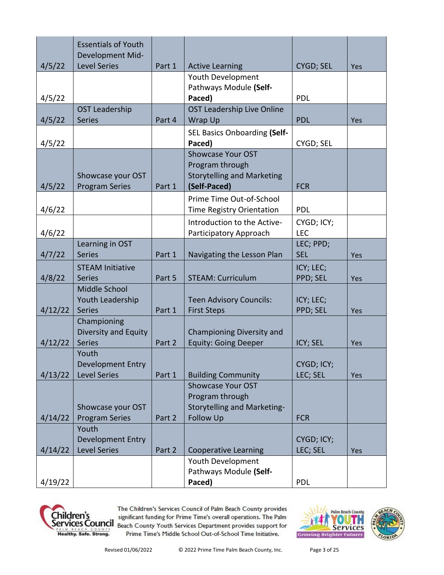|         | <b>Essentials of Youth</b><br>Development Mid-       |        |                                                                                                       |                          |            |
|---------|------------------------------------------------------|--------|-------------------------------------------------------------------------------------------------------|--------------------------|------------|
| 4/5/22  | <b>Level Series</b>                                  | Part 1 | <b>Active Learning</b>                                                                                | CYGD; SEL                | Yes        |
| 4/5/22  |                                                      |        | Youth Development<br>Pathways Module (Self-<br>Paced)                                                 | <b>PDL</b>               |            |
| 4/5/22  | <b>OST Leadership</b><br><b>Series</b>               | Part 4 | OST Leadership Live Online<br>Wrap Up                                                                 | <b>PDL</b>               | Yes        |
| 4/5/22  |                                                      |        | <b>SEL Basics Onboarding (Self-</b><br>Paced)                                                         | CYGD; SEL                |            |
| 4/5/22  | Showcase your OST<br><b>Program Series</b>           | Part 1 | <b>Showcase Your OST</b><br>Program through<br><b>Storytelling and Marketing</b><br>(Self-Paced)      | <b>FCR</b>               |            |
| 4/6/22  |                                                      |        | Prime Time Out-of-School<br>Time Registry Orientation                                                 | <b>PDL</b>               |            |
| 4/6/22  |                                                      |        | Introduction to the Active-<br>Participatory Approach                                                 | CYGD; ICY;<br><b>LEC</b> |            |
| 4/7/22  | Learning in OST<br><b>Series</b>                     | Part 1 | Navigating the Lesson Plan                                                                            | LEC; PPD;<br><b>SEL</b>  | <b>Yes</b> |
| 4/8/22  | <b>STEAM Initiative</b><br><b>Series</b>             | Part 5 | <b>STEAM: Curriculum</b>                                                                              | ICY; LEC;<br>PPD; SEL    | Yes        |
| 4/12/22 | Middle School<br>Youth Leadership<br><b>Series</b>   | Part 1 | <b>Teen Advisory Councils:</b><br><b>First Steps</b>                                                  | ICY; LEC;<br>PPD; SEL    | Yes        |
| 4/12/22 | Championing<br>Diversity and Equity<br><b>Series</b> | Part 2 | Championing Diversity and<br><b>Equity: Going Deeper</b>                                              | ICY; SEL                 | Yes        |
| 4/13/22 | Youth<br>Development Entry<br><b>Level Series</b>    | Part 1 | <b>Building Community</b>                                                                             | CYGD; ICY;<br>LEC; SEL   | Yes        |
| 4/14/22 | Showcase your OST<br><b>Program Series</b><br>Youth  | Part 2 | <b>Showcase Your OST</b><br>Program through<br><b>Storytelling and Marketing-</b><br><b>Follow Up</b> | <b>FCR</b>               |            |
| 4/14/22 | Development Entry<br><b>Level Series</b>             | Part 2 | <b>Cooperative Learning</b>                                                                           | CYGD; ICY;<br>LEC; SEL   | Yes        |
| 4/19/22 |                                                      |        | Youth Development<br>Pathways Module (Self-<br>Paced)                                                 | <b>PDL</b>               |            |



The Children's Services Council of Palm Beach County provides The Children's Services Council of Palm Beach County provides<br>
Services Council<br>
Services Council Beach County Youth Services Department provides support for Prime Time's Middle School Out-of-School Time Initiative.

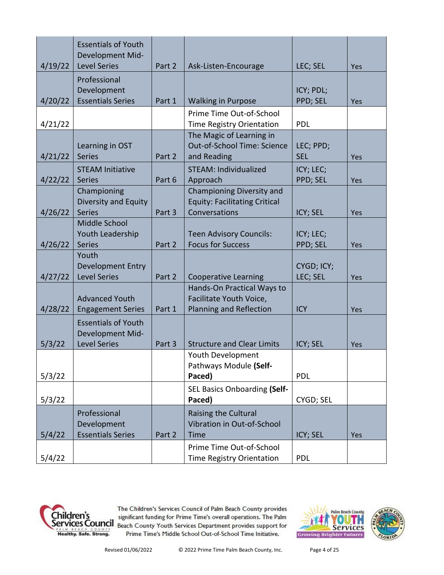|                  | <b>Essentials of Youth</b><br>Development Mid-                        |        |                                                                                    |                         |            |
|------------------|-----------------------------------------------------------------------|--------|------------------------------------------------------------------------------------|-------------------------|------------|
| 4/19/22          | <b>Level Series</b><br>Professional<br>Development                    | Part 2 | Ask-Listen-Encourage                                                               | LEC; SEL<br>ICY; PDL;   | Yes        |
| 4/20/22          | <b>Essentials Series</b>                                              | Part 1 | <b>Walking in Purpose</b>                                                          | PPD; SEL                | Yes        |
| 4/21/22          |                                                                       |        | Prime Time Out-of-School<br>Time Registry Orientation                              | <b>PDL</b>              |            |
| 4/21/22          | Learning in OST<br><b>Series</b>                                      | Part 2 | The Magic of Learning in<br>Out-of-School Time: Science<br>and Reading             | LEC; PPD;<br><b>SEL</b> | Yes        |
| 4/22/22          | <b>STEAM Initiative</b><br><b>Series</b>                              | Part 6 | <b>STEAM: Individualized</b><br>Approach                                           | ICY; LEC;<br>PPD; SEL   | Yes        |
| 4/26/22          | Championing<br>Diversity and Equity<br><b>Series</b>                  | Part 3 | Championing Diversity and<br><b>Equity: Facilitating Critical</b><br>Conversations | ICY; SEL                | Yes        |
| 4/26/22          | Middle School<br>Youth Leadership<br><b>Series</b>                    | Part 2 | <b>Teen Advisory Councils:</b><br><b>Focus for Success</b>                         | ICY; LEC;<br>PPD; SEL   | Yes        |
| 4/27/22          | Youth<br><b>Development Entry</b><br><b>Level Series</b>              | Part 2 | <b>Cooperative Learning</b>                                                        | CYGD; ICY;<br>LEC; SEL  | Yes        |
| 4/28/22          | <b>Advanced Youth</b><br><b>Engagement Series</b>                     | Part 1 | Hands-On Practical Ways to<br>Facilitate Youth Voice,<br>Planning and Reflection   | <b>ICY</b>              | Yes        |
| 5/3/22           | <b>Essentials of Youth</b><br>Development Mid-<br><b>Level Series</b> | Part 3 | <b>Structure and Clear Limits</b>                                                  | ICY; SEL                | Yes        |
|                  |                                                                       |        | Youth Development<br>Pathways Module (Self-<br>Paced)                              | <b>PDL</b>              |            |
| 5/3/22           |                                                                       |        | SEL Basics Onboarding (Self-                                                       |                         |            |
| 5/3/22           |                                                                       |        | Paced)                                                                             | CYGD; SEL               |            |
|                  | Professional<br>Development<br><b>Essentials Series</b>               |        | Raising the Cultural<br>Vibration in Out-of-School                                 |                         |            |
| 5/4/22<br>5/4/22 |                                                                       | Part 2 | Time<br>Prime Time Out-of-School<br>Time Registry Orientation                      | ICY; SEL<br><b>PDL</b>  | <b>Yes</b> |



The Children's Services Council of Palm Beach County provides The Children's Services Council of Palm Beach County provides<br>
Services Council Beach County Youth Services Department provides support for Prime Time's Middle School Out-of-School Time Initiative.

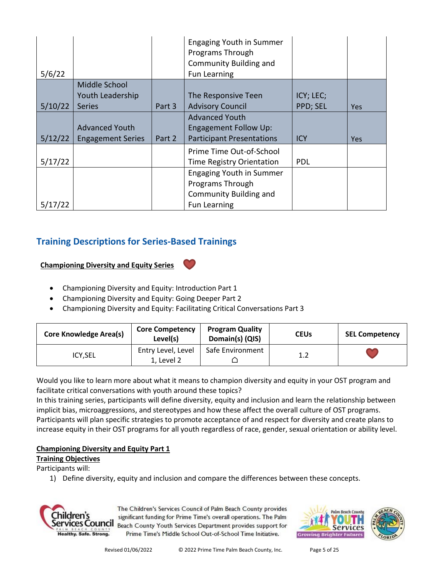| 5/6/22  |                          |        | <b>Engaging Youth in Summer</b><br>Programs Through<br><b>Community Building and</b><br>Fun Learning |            |            |
|---------|--------------------------|--------|------------------------------------------------------------------------------------------------------|------------|------------|
|         | Middle School            |        |                                                                                                      |            |            |
|         | Youth Leadership         |        | The Responsive Teen                                                                                  | ICY; LEC;  |            |
| 5/10/22 | <b>Series</b>            | Part 3 | <b>Advisory Council</b>                                                                              | PPD; SEL   | <b>Yes</b> |
|         |                          |        | <b>Advanced Youth</b>                                                                                |            |            |
|         | <b>Advanced Youth</b>    |        | <b>Engagement Follow Up:</b>                                                                         |            |            |
| 5/12/22 | <b>Engagement Series</b> | Part 2 | <b>Participant Presentations</b>                                                                     | <b>ICY</b> | <b>Yes</b> |
|         |                          |        | Prime Time Out-of-School                                                                             |            |            |
| 5/17/22 |                          |        | Time Registry Orientation                                                                            | <b>PDL</b> |            |
|         |                          |        | <b>Engaging Youth in Summer</b>                                                                      |            |            |
|         |                          |        | Programs Through                                                                                     |            |            |
|         |                          |        | <b>Community Building and</b>                                                                        |            |            |
| 5/17/22 |                          |        | Fun Learning                                                                                         |            |            |

# **Training Descriptions for Series-Based Trainings**

## **Championing Diversity and Equity Series**



- Championing Diversity and Equity: Going Deeper Part 2
- Championing Diversity and Equity: Facilitating Critical Conversations Part 3

| <b>Core Knowledge Area(s)</b> | <b>Core Competency</b><br>Level(s) | <b>Program Quality</b><br>Domain(s) (QIS) | <b>CEUs</b> | <b>SEL Competency</b> |
|-------------------------------|------------------------------------|-------------------------------------------|-------------|-----------------------|
| ICY, SEL                      | Entry Level, Level<br>1, Level 2   | Safe Environment                          | 1.2         |                       |

Would you like to learn more about what it means to champion diversity and equity in your OST program and facilitate critical conversations with youth around these topics?

In this training series, participants will define diversity, equity and inclusion and learn the relationship between implicit bias, microaggressions, and stereotypes and how these affect the overall culture of OST programs. Participants will plan specific strategies to promote acceptance of and respect for diversity and create plans to increase equity in their OST programs for all youth regardless of race, gender, sexual orientation or ability level.

## **Championing Diversity and Equity Part 1**

**Training Objectives**

Participants will:

1) Define diversity, equity and inclusion and compare the differences between these concepts.



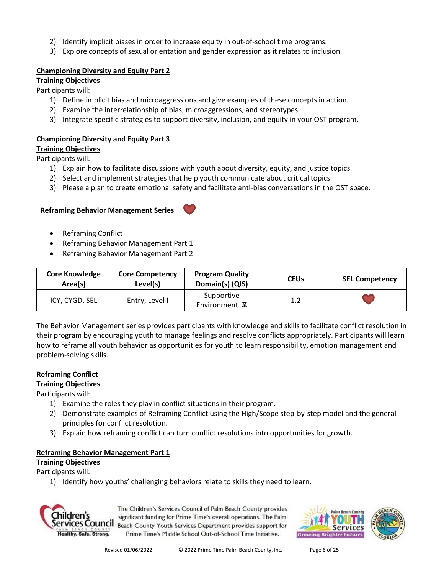- 2) Identify implicit biases in order to increase equity in out-of-school time programs.
- 3) Explore concepts of sexual orientation and gender expression as it relates to inclusion.

## **Championing Diversity and Equity Part 2**

**Training Objectives**

Participants will:

- 1) Define implicit bias and microaggressions and give examples of these concepts in action.
- 2) Examine the interrelationship of bias, microaggressions, and stereotypes.
- 3) Integrate specific strategies to support diversity, inclusion, and equity in your OST program.

## **Championing Diversity and Equity Part 3**

**Training Objectives**

Participants will: 1) Explain how to facilitate discussions with youth about diversity, equity, and justice topics.

- 2) Select and implement strategies that help youth communicate about critical topics.
- 3) Please a plan to create emotional safety and facilitate anti-bias conversations in the OST space.

## **Reframing Behavior Management Series**



- Reframing Conflict
- Reframing Behavior Management Part 1
- Reframing Behavior Management Part 2

| <b>Core Knowledge</b><br>Area(s) | <b>Core Competency</b><br>Level(s) | <b>Program Quality</b><br>Domain(s) (QIS) | <b>CEUs</b> | <b>SEL Competency</b> |
|----------------------------------|------------------------------------|-------------------------------------------|-------------|-----------------------|
| ICY, CYGD, SEL                   | Entry, Level I                     | Supportive<br>Environment <b>A</b>        | 1.2         |                       |

The Behavior Management series provides participants with knowledge and skills to facilitate conflict resolution in their program by encouraging youth to manage feelings and resolve conflicts appropriately. Participants will learn how to reframe all youth behavior as opportunities for youth to learn responsibility, emotion management and problem-solving skills.

## **Reframing Conflict**

## **Training Objectives**

Participants will:

- 1) Examine the roles they play in conflict situations in their program.
- 2) Demonstrate examples of Reframing Conflict using the High/Scope step-by-step model and the general principles for conflict resolution.
- 3) Explain how reframing conflict can turn conflict resolutions into opportunities for growth.

## **Reframing Behavior Management Part 1**

**Training Objectives**

Participants will:

1) Identify how youths' challenging behaviors relate to skills they need to learn.



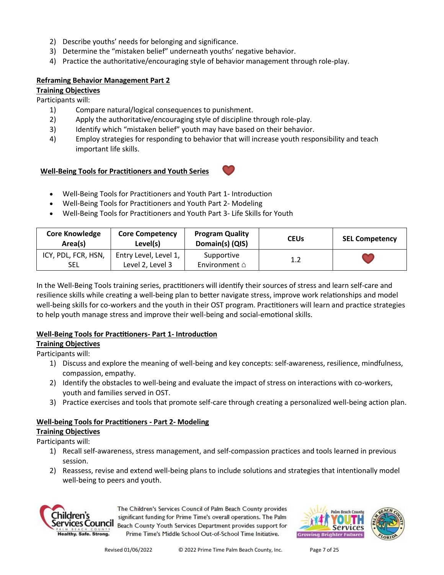- 2) Describe youths' needs for belonging and significance.
- 3) Determine the "mistaken belief" underneath youths' negative behavior.
- 4) Practice the authoritative/encouraging style of behavior management through role-play.

#### **Reframing Behavior Management Part 2**

#### **Training Objectives**

Participants will:

- 1) Compare natural/logical consequences to punishment.
- 2) Apply the authoritative/encouraging style of discipline through role-play.
- 3) Identify which "mistaken belief" youth may have based on their behavior.
- 4) Employ strategies for responding to behavior that will increase youth responsibility and teach important life skills.

#### **Well-Being Tools for Practitioners and Youth Series**

- Well-Being Tools for Practitioners and Youth Part 1- Introduction
- Well-Being Tools for Practitioners and Youth Part 2- Modeling
- Well-Being Tools for Practitioners and Youth Part 3- Life Skills for Youth

| <b>Core Knowledge</b><br>Area(s)  | <b>Core Competency</b><br>Level(s)        | <b>Program Quality</b><br>Domain(s) (QIS) | <b>CEUs</b> | <b>SEL Competency</b> |
|-----------------------------------|-------------------------------------------|-------------------------------------------|-------------|-----------------------|
| ICY, PDL, FCR, HSN,<br><b>SEL</b> | Entry Level, Level 1,<br>Level 2, Level 3 | Supportive<br>Environment $\triangle$     | 1.2         |                       |

In the Well-Being Tools training series, practitioners will identify their sources of stress and learn self-care and resilience skills while creating a well-being plan to better navigate stress, improve work relationships and model well-being skills for co-workers and the youth in their OST program. Practitioners will learn and practice strategies to help youth manage stress and improve their well-being and social-emotional skills.

## **Well-Being Tools for Practitioners- Part 1- Introduction**

**Training Objectives**

Participants will:

- 1) Discuss and explore the meaning of well-being and key concepts: self-awareness, resilience, mindfulness, compassion, empathy.
- 2) Identify the obstacles to well-being and evaluate the impact of stress on interactions with co-workers, youth and families served in OST.
- 3) Practice exercises and tools that promote self-care through creating a personalized well-being action plan.

## **Well-being Tools for Practitioners - Part 2- Modeling**

**Training Objectives**

Participants will:

- 1) Recall self-awareness, stress management, and self-compassion practices and tools learned in previous session.
- 2) Reassess, revise and extend well-being plans to include solutions and strategies that intentionally model well-being to peers and youth.



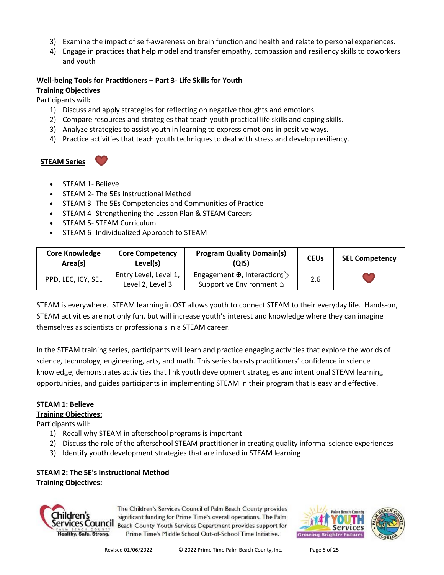- 3) Examine the impact of self-awareness on brain function and health and relate to personal experiences.
- 4) Engage in practices that help model and transfer empathy, compassion and resiliency skills to coworkers and youth

#### **Well-being Tools for Practitioners – Part 3- Life Skills for Youth**

#### **Training Objectives**

Participants will**:**

- 1) Discuss and apply strategies for reflecting on negative thoughts and emotions.
- 2) Compare resources and strategies that teach youth practical life skills and coping skills.
- 3) Analyze strategies to assist youth in learning to express emotions in positive ways.
- 4) Practice activities that teach youth techniques to deal with stress and develop resiliency.

**STEAM Series**

- STEAM 1- Believe
- STEAM 2- The 5Es Instructional Method
- STEAM 3- The 5Es Competencies and Communities of Practice
- STEAM 4- Strengthening the Lesson Plan & STEAM Careers
- STEAM 5- STEAM Curriculum
- STEAM 6- Individualized Approach to STEAM

| <b>Core Knowledge</b><br>Area(s) | <b>Core Competency</b><br>Level(s)        | <b>Program Quality Domain(s)</b><br>(QIS)                                          | <b>CEUs</b> | <b>SEL Competency</b> |
|----------------------------------|-------------------------------------------|------------------------------------------------------------------------------------|-------------|-----------------------|
| PPD, LEC, ICY, SEL               | Entry Level, Level 1,<br>Level 2, Level 3 | Engagement $\oplus$ , Interactions $\hat{c}$<br>Supportive Environment $\triangle$ | 2.6         |                       |

STEAM is everywhere. STEAM learning in OST allows youth to connect STEAM to their everyday life. Hands-on, STEAM activities are not only fun, but will increase youth's interest and knowledge where they can imagine themselves as scientists or professionals in a STEAM career.

In the STEAM training series, participants will learn and practice engaging activities that explore the worlds of science, technology, engineering, arts, and math. This series boosts practitioners' confidence in science knowledge, demonstrates activities that link youth development strategies and intentional STEAM learning opportunities, and guides participants in implementing STEAM in their program that is easy and effective.

#### **STEAM 1: Believe**

#### **Training Objectives:**

Participants will:

- 1) Recall why STEAM in afterschool programs is important
- 2) Discuss the role of the afterschool STEAM practitioner in creating quality informal science experiences
- 3) Identify youth development strategies that are infused in STEAM learning

# **STEAM 2: The 5E's Instructional Method**

**Training Objectives:**



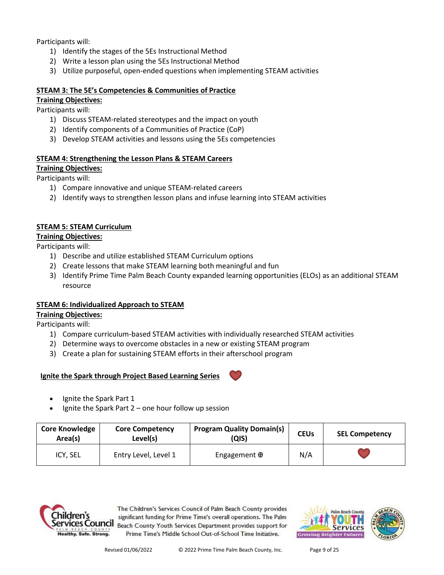Participants will:

- 1) Identify the stages of the 5Es Instructional Method
- 2) Write a lesson plan using the 5Es Instructional Method
- 3) Utilize purposeful, open-ended questions when implementing STEAM activities

## **STEAM 3: The 5E's Competencies & Communities of Practice**

**Training Objectives:**

Participants will:

- 1) Discuss STEAM-related stereotypes and the impact on youth
- 2) Identify components of a Communities of Practice (CoP)
- 3) Develop STEAM activities and lessons using the 5Es competencies

## **STEAM 4: Strengthening the Lesson Plans & STEAM Careers**

## **Training Objectives:**

Participants will:

- 1) Compare innovative and unique STEAM-related careers
- 2) Identify ways to strengthen lesson plans and infuse learning into STEAM activities

## **STEAM 5: STEAM Curriculum**

#### **Training Objectives:**

Participants will:

- 1) Describe and utilize established STEAM Curriculum options
- 2) Create lessons that make STEAM learning both meaningful and fun
- 3) Identify Prime Time Palm Beach County expanded learning opportunities (ELOs) as an additional STEAM resource

## **STEAM 6: Individualized Approach to STEAM**

## **Training Objectives:**

Participants will:

- 1) Compare curriculum-based STEAM activities with individually researched STEAM activities
- 2) Determine ways to overcome obstacles in a new or existing STEAM program
- 3) Create a plan for sustaining STEAM efforts in their afterschool program

## **Ignite the Spark through Project Based Learning Series**

- Ignite the Spark Part 1
- Ignite the Spark Part  $2$  one hour follow up session

| <b>Core Knowledge</b><br>Area(s) | <b>Core Competency</b><br>Level(s) | <b>Program Quality Domain(s)</b><br>(QIS) | <b>CEUs</b> | <b>SEL Competency</b> |
|----------------------------------|------------------------------------|-------------------------------------------|-------------|-----------------------|
| ICY, SEL                         | Entry Level, Level 1               | Engagement $\oplus$                       | N/A         |                       |



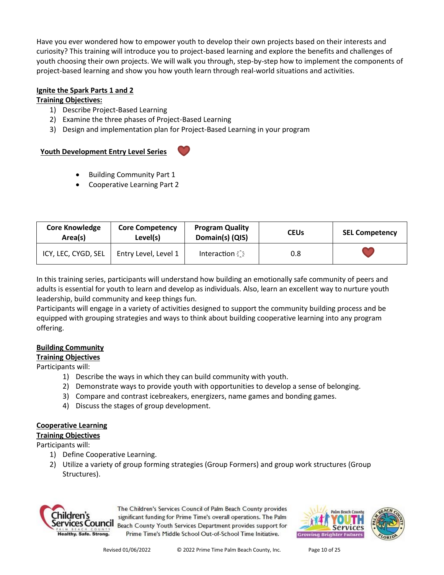Have you ever wondered how to empower youth to develop their own projects based on their interests and curiosity? This training will introduce you to project-based learning and explore the benefits and challenges of youth choosing their own projects. We will walk you through, step-by-step how to implement the components of project-based learning and show you how youth learn through real-world situations and activities.

## **Ignite the Spark Parts 1 and 2**

#### **Training Objectives:**

- 1) Describe Project-Based Learning
- 2) Examine the three phases of Project-Based Learning
- 3) Design and implementation plan for Project-Based Learning in your program

## **Youth Development Entry Level Series**



- Building Community Part 1
- Cooperative Learning Part 2

| <b>Core Knowledge</b><br>Area(s) | <b>Core Competency</b><br>Level(s) | <b>Program Quality</b><br>Domain(s) (QIS) | <b>CEUs</b> | <b>SEL Competency</b> |
|----------------------------------|------------------------------------|-------------------------------------------|-------------|-----------------------|
| ICY, LEC, CYGD, SEL              | Entry Level, Level 1               | <b>Interaction</b>                        | 0.8         |                       |

In this training series, participants will understand how building an emotionally safe community of peers and adults is essential for youth to learn and develop as individuals. Also, learn an excellent way to nurture youth leadership, build community and keep things fun.

Participants will engage in a variety of activities designed to support the community building process and be equipped with grouping strategies and ways to think about building cooperative learning into any program offering.

## **Building Community**

**Training Objectives**

## Participants will:

- 1) Describe the ways in which they can build community with youth.
- 2) Demonstrate ways to provide youth with opportunities to develop a sense of belonging.
- 3) Compare and contrast icebreakers, energizers, name games and bonding games.
- 4) Discuss the stages of group development.

## **Cooperative Learning**

## **Training Objectives**

Participants will:

- 1) Define Cooperative Learning.
- 2) Utilize a variety of group forming strategies (Group Formers) and group work structures (Group Structures).



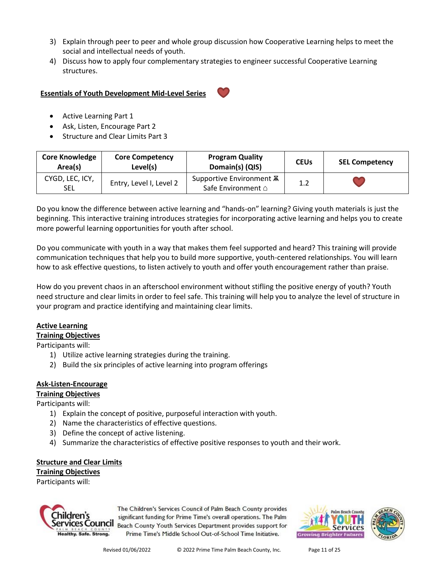- 3) Explain through peer to peer and whole group discussion how Cooperative Learning helps to meet the social and intellectual needs of youth.
- 4) Discuss how to apply four complementary strategies to engineer successful Cooperative Learning structures.

#### **Essentials of Youth Development Mid-Level Series**



- Active Learning Part 1
- Ask, Listen, Encourage Part 2
- Structure and Clear Limits Part 3

| <b>Core Knowledge</b><br>Area(s) | <b>Core Competency</b><br>Level(s) | <b>Program Quality</b><br>Domain(s) (QIS)             | <b>CEUs</b> | <b>SEL Competency</b> |
|----------------------------------|------------------------------------|-------------------------------------------------------|-------------|-----------------------|
| CYGD, LEC, ICY,<br><b>SEL</b>    | Entry, Level I, Level 2            | Supportive Environment <b>A</b><br>Safe Environment △ | 1.2         |                       |

Do you know the difference between active learning and "hands-on" learning? Giving youth materials is just the beginning. This interactive training introduces strategies for incorporating active learning and helps you to create more powerful learning opportunities for youth after school.

Do you communicate with youth in a way that makes them feel supported and heard? This training will provide communication techniques that help you to build more supportive, youth-centered relationships. You will learn how to ask effective questions, to listen actively to youth and offer youth encouragement rather than praise.

How do you prevent chaos in an afterschool environment without stifling the positive energy of youth? Youth need structure and clear limits in order to feel safe. This training will help you to analyze the level of structure in your program and practice identifying and maintaining clear limits.

## **Active Learning**

## **Training Objectives**

Participants will:

- 1) Utilize active learning strategies during the training.
- 2) Build the six principles of active learning into program offerings

## **Ask-Listen-Encourage**

**Training Objectives**

Participants will:

- 1) Explain the concept of positive, purposeful interaction with youth.
- 2) Name the characteristics of effective questions.
- 3) Define the concept of active listening.
- 4) Summarize the characteristics of effective positive responses to youth and their work.

#### **Structure and Clear Limits Training Objectives**

Participants will:



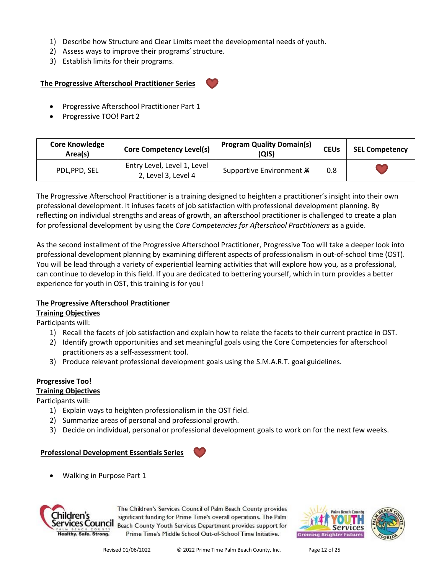- 1) Describe how Structure and Clear Limits meet the developmental needs of youth.
- 2) Assess ways to improve their programs' structure.
- 3) Establish limits for their programs.

#### **The Progressive Afterschool Practitioner Series**

- Progressive Afterschool Practitioner Part 1
- Progressive TOO! Part 2

| <b>Core Knowledge</b><br>Area(s) | <b>Core Competency Level(s)</b>                    | <b>Program Quality Domain(s)</b><br>(QIS) | <b>CEUs</b> | <b>SEL Competency</b> |
|----------------------------------|----------------------------------------------------|-------------------------------------------|-------------|-----------------------|
| PDL, PPD, SEL                    | Entry Level, Level 1, Level<br>2, Level 3, Level 4 | Supportive Environment <b>A</b>           | 0.8         |                       |

The Progressive Afterschool Practitioner is a training designed to heighten a practitioner's insight into their own professional development. It infuses facets of job satisfaction with professional development planning. By reflecting on individual strengths and areas of growth, an afterschool practitioner is challenged to create a plan for professional development by using the *Core Competencies for Afterschool Practitioners* as a guide.

As the second installment of the Progressive Afterschool Practitioner, Progressive Too will take a deeper look into professional development planning by examining different aspects of professionalism in out-of-school time (OST). You will be lead through a variety of experiential learning activities that will explore how you, as a professional, can continue to develop in this field. If you are dedicated to bettering yourself, which in turn provides a better experience for youth in OST, this training is for you!

#### **The Progressive Afterschool Practitioner**

## **Training Objectives**

Participants will:

- 1) Recall the facets of job satisfaction and explain how to relate the facets to their current practice in OST.
- 2) Identify growth opportunities and set meaningful goals using the Core Competencies for afterschool practitioners as a self-assessment tool.
- 3) Produce relevant professional development goals using the S.M.A.R.T. goal guidelines.

## **Progressive Too!**

#### **Training Objectives**

Participants will:

- 1) Explain ways to heighten professionalism in the OST field.
- 2) Summarize areas of personal and professional growth.
- 3) Decide on individual, personal or professional development goals to work on for the next few weeks.

#### **Professional Development Essentials Series**

• Walking in Purpose Part 1



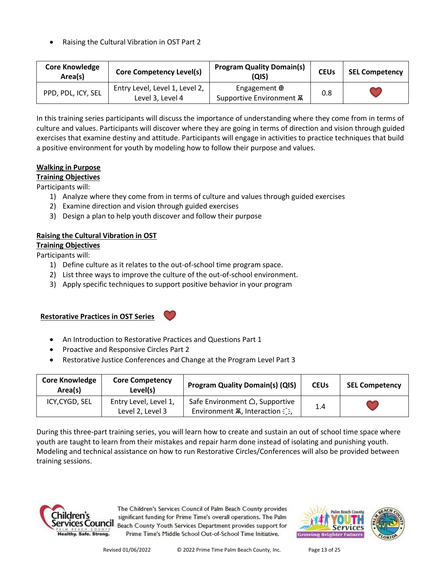• Raising the Cultural Vibration in OST Part 2

| <b>Core Knowledge</b><br>Area(s) | <b>Core Competency Level(s)</b>                    | <b>Program Quality Domain(s)</b><br>(QIS)              | <b>CEUs</b> | <b>SEL Competency</b> |
|----------------------------------|----------------------------------------------------|--------------------------------------------------------|-------------|-----------------------|
| PPD, PDL, ICY, SEL               | Entry Level, Level 1, Level 2,<br>Level 3, Level 4 | Engagement $\oplus$<br>Supportive Environment <b>A</b> | 0.8         |                       |

In this training series participants will discuss the importance of understanding where they come from in terms of culture and values. Participants will discover where they are going in terms of direction and vision through guided exercises that examine destiny and attitude. Participants will engage in activities to practice techniques that build a positive environment for youth by modeling how to follow their purpose and values.

#### **Walking in Purpose**

**Training Objectives**

Participants will:

- 1) Analyze where they come from in terms of culture and values through guided exercises
- 2) Examine direction and vision through guided exercises
- 3) Design a plan to help youth discover and follow their purpose

## **Raising the Cultural Vibration in OST**

**Training Objectives** Participants will:

- 1) Define culture as it relates to the out-of-school time program space.
- 2) List three ways to improve the culture of the out-of-school environment.
- 3) Apply specific techniques to support positive behavior in your program

## **Restorative Practices in OST Series**

- An Introduction to Restorative Practices and Questions Part 1
- Proactive and Responsive Circles Part 2
- Restorative Justice Conferences and Change at the Program Level Part 3

| <b>Core Knowledge</b><br>Area(s) | <b>Core Competency</b><br>Level(s)        | <b>Program Quality Domain(s) (QIS)</b>                                                 | <b>CEUs</b> | <b>SEL Competency</b> |
|----------------------------------|-------------------------------------------|----------------------------------------------------------------------------------------|-------------|-----------------------|
| ICY, CYGD, SEL                   | Entry Level, Level 1,<br>Level 2, Level 3 | Safe Environment △, Supportive<br>Environment $\overline{A}$ , Interaction $\hat{A}$ , | 1.4         |                       |

During this three-part training series, you will learn how to create and sustain an out of school time space where youth are taught to learn from their mistakes and repair harm done instead of isolating and punishing youth. Modeling and technical assistance on how to run Restorative Circles/Conferences will also be provided between training sessions.



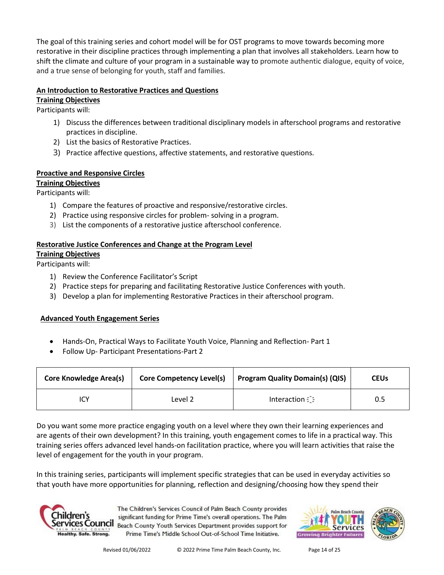The goal of this training series and cohort model will be for OST programs to move towards becoming more restorative in their discipline practices through implementing a plan that involves all stakeholders. Learn how to shift the climate and culture of your program in a sustainable way to promote authentic dialogue, equity of voice, and a true sense of belonging for youth, staff and families.

## **An Introduction to Restorative Practices and Questions**

**Training Objectives** Participants will:

- 1) Discuss the differences between traditional disciplinary models in afterschool programs and restorative practices in discipline.
- 2) List the basics of Restorative Practices.
- 3) Practice affective questions, affective statements, and restorative questions*.*

## **Proactive and Responsive Circles**

## **Training Objectives**

Participants will:

- 1) Compare the features of proactive and responsive/restorative circles.
- 2) Practice using responsive circles for problem- solving in a program.
- 3) List the components of a restorative justice afterschool conference.

## **Restorative Justice Conferences and Change at the Program Level Training Objectives**

Participants will:

- 1) Review the Conference Facilitator's Script
- 2) Practice steps for preparing and facilitating Restorative Justice Conferences with youth.
- 3) Develop a plan for implementing Restorative Practices in their afterschool program.

## **Advanced Youth Engagement Series**

- Hands-On, Practical Ways to Facilitate Youth Voice, Planning and Reflection- Part 1
- Follow Up- Participant Presentations-Part 2

| <b>Core Knowledge Area(s)</b> | <b>Core Competency Level(s)</b> | <b>Program Quality Domain(s) (QIS)</b> | <b>CEUs</b> |
|-------------------------------|---------------------------------|----------------------------------------|-------------|
|                               | Level 2                         | <b>Interaction</b>                     | 0.5         |

Do you want some more practice engaging youth on a level where they own their learning experiences and are agents of their own development? In this training, youth engagement comes to life in a practical way. This training series offers advanced level hands-on facilitation practice, where you will learn activities that raise the level of engagement for the youth in your program.

In this training series, participants will implement specific strategies that can be used in everyday activities so that youth have more opportunities for planning, reflection and designing/choosing how they spend their



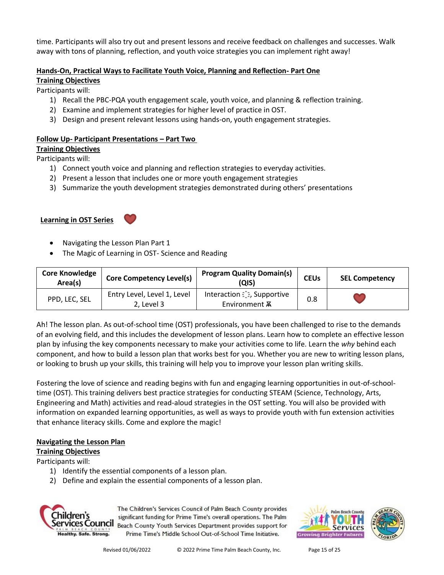time. Participants will also try out and present lessons and receive feedback on challenges and successes. Walk away with tons of planning, reflection, and youth voice strategies you can implement right away!

## **Hands-On, Practical Ways to Facilitate Youth Voice, Planning and Reflection- Part One**

## **Training Objectives**

Participants will:

- 1) Recall the PBC-PQA youth engagement scale, youth voice, and planning & reflection training.
- 2) Examine and implement strategies for higher level of practice in OST.
- 3) Design and present relevant lessons using hands-on, youth engagement strategies.

## **Follow Up- Participant Presentations – Part Two**

## **Training Objectives**

Participants will:

- 1) Connect youth voice and planning and reflection strategies to everyday activities.
- 2) Present a lesson that includes one or more youth engagement strategies
- 3) Summarize the youth development strategies demonstrated during others' presentations

## **Learning in OST Series**



- Navigating the Lesson Plan Part 1
- The Magic of Learning in OST- Science and Reading

| <b>Core Knowledge</b><br>Area(s) | <b>Core Competency Level(s)</b>           | <b>Program Quality Domain(s)</b><br>(QIS)           | <b>CEUs</b> | <b>SEL Competency</b> |
|----------------------------------|-------------------------------------------|-----------------------------------------------------|-------------|-----------------------|
| PPD, LEC, SEL                    | Entry Level, Level 1, Level<br>2. Level 3 | Interaction als, Supportive<br>Environment <b>A</b> | 0.8         |                       |

Ah! The lesson plan. As out-of-school time (OST) professionals, you have been challenged to rise to the demands of an evolving field, and this includes the development of lesson plans. Learn how to complete an effective lesson plan by infusing the key components necessary to make your activities come to life. Learn the *why* behind each component, and how to build a lesson plan that works best for you. Whether you are new to writing lesson plans, or looking to brush up your skills, this training will help you to improve your lesson plan writing skills.

Fostering the love of science and reading begins with fun and engaging learning opportunities in out-of-schooltime (OST). This training delivers best practice strategies for conducting STEAM (Science, Technology, Arts, Engineering and Math) activities and read-aloud strategies in the OST setting. You will also be provided with information on expanded learning opportunities, as well as ways to provide youth with fun extension activities that enhance literacy skills. Come and explore the magic!

## **Navigating the Lesson Plan**

## **Training Objectives**

Participants will:

- 1) Identify the essential components of a lesson plan.
- 2) Define and explain the essential components of a lesson plan.



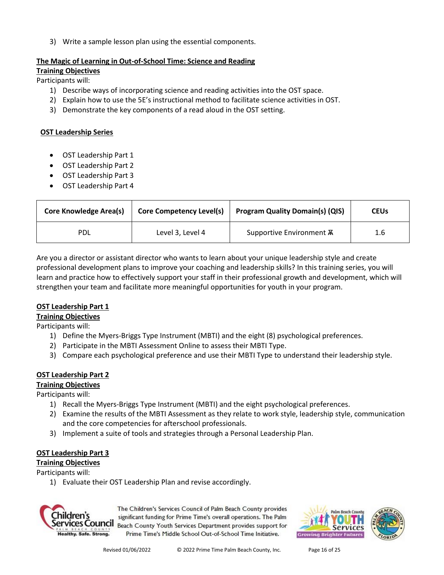3) Write a sample lesson plan using the essential components.

#### **The Magic of Learning in Out-of-School Time: Science and Reading**

**Training Objectives**

Participants will:

- 1) Describe ways of incorporating science and reading activities into the OST space.
- 2) Explain how to use the 5E's instructional method to facilitate science activities in OST.
- 3) Demonstrate the key components of a read aloud in the OST setting.

#### **OST Leadership Series**

- OST Leadership Part 1
- OST Leadership Part 2
- OST Leadership Part 3
- OST Leadership Part 4

| <b>Core Knowledge Area(s)</b> | <b>Core Competency Level(s)</b> | <b>Program Quality Domain(s) (QIS)</b> | <b>CEUs</b> |
|-------------------------------|---------------------------------|----------------------------------------|-------------|
| PDL                           | Level 3, Level 4                | Supportive Environment A               | 1.6         |

Are you a director or assistant director who wants to learn about your unique leadership style and create professional development plans to improve your coaching and leadership skills? In this training series, you will learn and practice how to effectively support your staff in their professional growth and development, which will strengthen your team and facilitate more meaningful opportunities for youth in your program.

#### **OST Leadership Part 1**

**Training Objectives**

Participants will:

- 1) Define the Myers-Briggs Type Instrument (MBTI) and the eight (8) psychological preferences.
- 2) Participate in the MBTI Assessment Online to assess their MBTI Type.
- 3) Compare each psychological preference and use their MBTI Type to understand their leadership style.

#### **OST Leadership Part 2**

#### **Training Objectives**

Participants will:

- 1) Recall the Myers-Briggs Type Instrument (MBTI) and the eight psychological preferences.
- 2) Examine the results of the MBTI Assessment as they relate to work style, leadership style, communication and the core competencies for afterschool professionals.
- 3) Implement a suite of tools and strategies through a Personal Leadership Plan.

## **OST Leadership Part 3**

**Training Objectives**

Participants will:

1) Evaluate their OST Leadership Plan and revise accordingly.



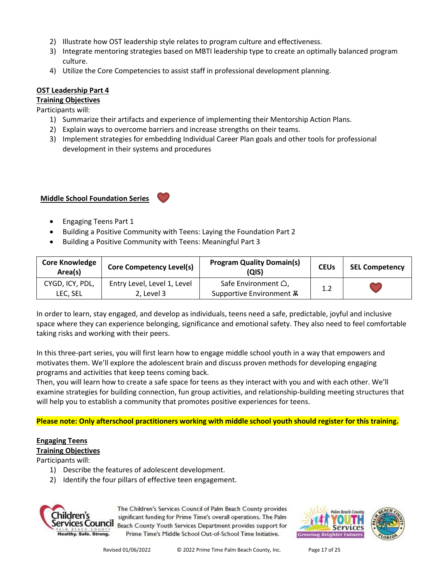- 2) Illustrate how OST leadership style relates to program culture and effectiveness.
- 3) Integrate mentoring strategies based on MBTI leadership type to create an optimally balanced program culture.
- 4) Utilize the Core Competencies to assist staff in professional development planning.

#### **OST Leadership Part 4**

#### **Training Objectives**

Participants will:

- 1) Summarize their artifacts and experience of implementing their Mentorship Action Plans.
- 2) Explain ways to overcome barriers and increase strengths on their teams.
- 3) Implement strategies for embedding Individual Career Plan goals and other tools for professional development in their systems and procedures

**Middle School Foundation Series** 

- Engaging Teens Part 1
- Building a Positive Community with Teens: Laying the Foundation Part 2
- Building a Positive Community with Teens: Meaningful Part 3

| <b>Core Knowledge</b><br>Area(s) | <b>Core Competency Level(s)</b>           | <b>Program Quality Domain(s)</b><br>(QIS)                         | <b>CEUs</b> | <b>SEL Competency</b> |
|----------------------------------|-------------------------------------------|-------------------------------------------------------------------|-------------|-----------------------|
| CYGD, ICY, PDL,<br>LEC, SEL      | Entry Level, Level 1, Level<br>2, Level 3 | Safe Environment $\triangle$ ,<br>Supportive Environment <b>A</b> | 1.2         |                       |

In order to learn, stay engaged, and develop as individuals, teens need a safe, predictable, joyful and inclusive space where they can experience belonging, significance and emotional safety. They also need to feel comfortable taking risks and working with their peers.

In this three-part series, you will first learn how to engage middle school youth in a way that empowers and motivates them. We'll explore the adolescent brain and discuss proven methods for developing engaging programs and activities that keep teens coming back.

Then, you will learn how to create a safe space for teens as they interact with you and with each other. We'll examine strategies for building connection, fun group activities, and relationship-building meeting structures that will help you to establish a community that promotes positive experiences for teens.

**Please note: Only afterschool practitioners working with middle school youth should register for this training.**

# **Engaging Teens**

## **Training Objectives**

Participants will:

- 1) Describe the features of adolescent development.
- 2) Identify the four pillars of effective teen engagement.



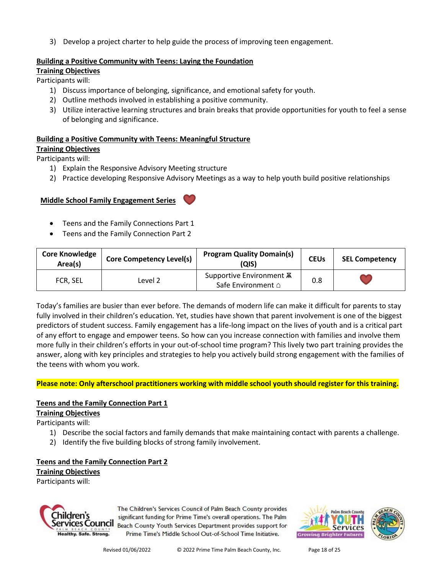3) Develop a project charter to help guide the process of improving teen engagement.

#### **Building a Positive Community with Teens: Laying the Foundation**

**Training Objectives**

Participants will:

- 1) Discuss importance of belonging, significance, and emotional safety for youth.
- 2) Outline methods involved in establishing a positive community.
- 3) Utilize interactive learning structures and brain breaks that provide opportunities for youth to feel a sense of belonging and significance.

#### **Building a Positive Community with Teens: Meaningful Structure**

#### **Training Objectives**

Participants will:

- 1) Explain the Responsive Advisory Meeting structure
- 2) Practice developing Responsive Advisory Meetings as a way to help youth build positive relationships

#### **Middle School Family Engagement Series**

- Teens and the Family Connections Part 1
- Teens and the Family Connection Part 2

| <b>Core Knowledge</b><br>Area(s) | <b>Core Competency Level(s)</b> | <b>Program Quality Domain(s)</b><br>(QIS)      | <b>CEUs</b> | <b>SEL Competency</b> |
|----------------------------------|---------------------------------|------------------------------------------------|-------------|-----------------------|
| FCR, SEL                         | Level <sub>2</sub>              | Supportive Environment A<br>Safe Environment △ | 0.8         |                       |

Today's families are busier than ever before. The demands of modern life can make it difficult for parents to stay fully involved in their children's education. Yet, studies have shown that parent involvement is one of the biggest predictors of student success. Family engagement has a life-long impact on the lives of youth and is a critical part of any effort to engage and empower teens. So how can you increase connection with families and involve them more fully in their children's efforts in your out-of-school time program? This lively two part training provides the answer, along with key principles and strategies to help you actively build strong engagement with the families of the teens with whom you work.

#### **Please note: Only afterschool practitioners working with middle school youth should register for this training.**

#### **Teens and the Family Connection Part 1**

**Training Objectives**

- Participants will:
	- 1) Describe the social factors and family demands that make maintaining contact with parents a challenge.
	- 2) Identify the five building blocks of strong family involvement.

## **Teens and the Family Connection Part 2**

**Training Objectives**

Participants will:



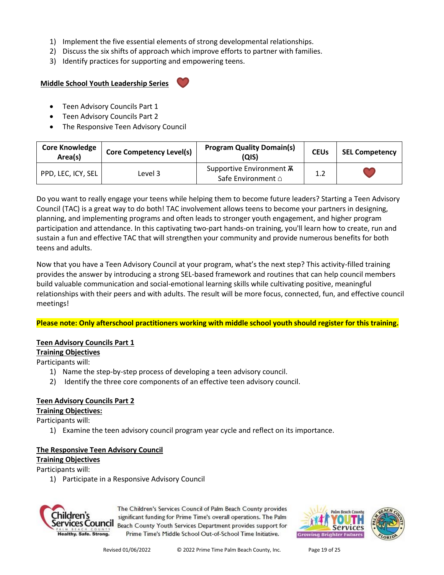- 1) Implement the five essential elements of strong developmental relationships.
- 2) Discuss the six shifts of approach which improve efforts to partner with families.
- 3) Identify practices for supporting and empowering teens.

## **Middle School Youth Leadership Series**

- Teen Advisory Councils Part 1
- Teen Advisory Councils Part 2
- The Responsive Teen Advisory Council

| <b>Core Knowledge</b><br>Area(s) | <b>Core Competency Level(s)</b> | <b>Program Quality Domain(s)</b><br>QIS)              | <b>CEUs</b> | <b>SEL Competency</b> |
|----------------------------------|---------------------------------|-------------------------------------------------------|-------------|-----------------------|
| PPD, LEC, ICY, SEL               | Level 3                         | Supportive Environment <b>A</b><br>Safe Environment △ | 1.2         |                       |

Do you want to really engage your teens while helping them to become future leaders? Starting a Teen Advisory Council (TAC) is a great way to do both! TAC involvement allows teens to become your partners in designing, planning, and implementing programs and often leads to stronger youth engagement, and higher program participation and attendance. In this captivating two-part hands-on training, you'll learn how to create, run and sustain a fun and effective TAC that will strengthen your community and provide numerous benefits for both teens and adults.

Now that you have a Teen Advisory Council at your program, what's the next step? This activity-filled training provides the answer by introducing a strong SEL-based framework and routines that can help council members build valuable communication and social-emotional learning skills while cultivating positive, meaningful relationships with their peers and with adults. The result will be more focus, connected, fun, and effective council meetings!

#### **Please note: Only afterschool practitioners working with middle school youth should register for this training.**

#### **Teen Advisory Councils Part 1**

#### **Training Objectives**

Participants will:

- 1) Name the step-by-step process of developing a teen advisory council.
- 2) Identify the three core components of an effective teen advisory council.

## **Teen Advisory Councils Part 2**

## **Training Objectives:**

Participants will:

1) Examine the teen advisory council program year cycle and reflect on its importance.

#### **The Responsive Teen Advisory Council**

## **Training Objectives**

Participants will:

1) Participate in a Responsive Advisory Council



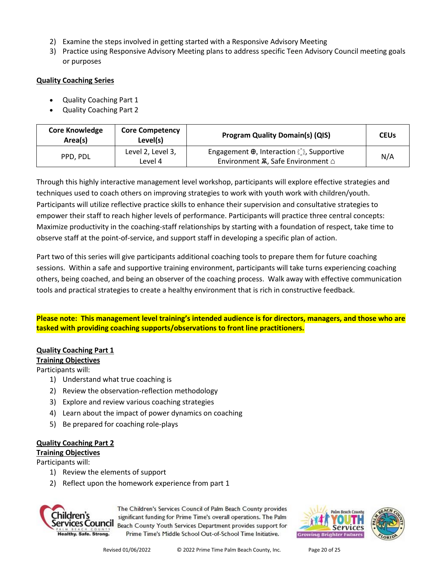- 2) Examine the steps involved in getting started with a Responsive Advisory Meeting
- 3) Practice using Responsive Advisory Meeting plans to address specific Teen Advisory Council meeting goals or purposes

#### **Quality Coaching Series**

- Quality Coaching Part 1
- Quality Coaching Part 2

| <b>Core Knowledge</b><br>Area(s) | <b>Core Competency</b><br>Level(s) | <b>Program Quality Domain(s) (QIS)</b>                                                                     | <b>CEUs</b> |
|----------------------------------|------------------------------------|------------------------------------------------------------------------------------------------------------|-------------|
| PPD. PDL                         | Level 2, Level 3,<br>Level 4       | Engagement $\oplus$ , Interaction $\widehat{\mathbb{C}}$ , Supportive<br>Environment Ѫ, Safe Environment △ | N/A         |

Through this highly interactive management level workshop, participants will explore effective strategies and techniques used to coach others on improving strategies to work with youth work with children/youth. Participants will utilize reflective practice skills to enhance their supervision and consultative strategies to empower their staff to reach higher levels of performance. Participants will practice three central concepts: Maximize productivity in the coaching-staff relationships by starting with a foundation of respect, take time to observe staff at the point-of-service, and support staff in developing a specific plan of action.

Part two of this series will give participants additional coaching tools to prepare them for future coaching sessions. Within a safe and supportive training environment, participants will take turns experiencing coaching others, being coached, and being an observer of the coaching process. Walk away with effective communication tools and practical strategies to create a healthy environment that is rich in constructive feedback.

**Please note: This management level training's intended audience is for directors, managers, and those who are tasked with providing coaching supports/observations to front line practitioners.** 

## **Quality Coaching Part 1**

#### **Training Objectives**

Participants will:

- 1) Understand what true coaching is
- 2) Review the observation-reflection methodology
- 3) Explore and review various coaching strategies
- 4) Learn about the impact of power dynamics on coaching
- 5) Be prepared for coaching role-plays

## **Quality Coaching Part 2**

#### **Training Objectives**

Participants will:

- 1) Review the elements of support
- 2) Reflect upon the homework experience from part 1



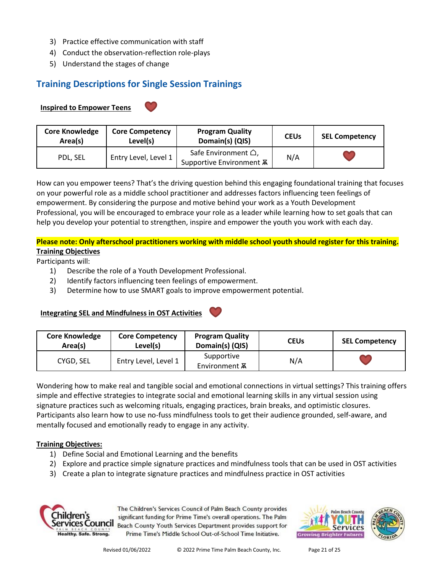- 3) Practice effective communication with staff
- 4) Conduct the observation-reflection role-plays
- 5) Understand the stages of change

## **Training Descriptions for Single Session Trainings**

## **Inspired to Empower Teens**

| <b>Core Knowledge</b><br>Area(s) | <b>Core Competency</b><br>Level(s) | <b>Program Quality</b><br>Domain(s) (QIS)              | <b>CEUs</b> | <b>SEL Competency</b> |
|----------------------------------|------------------------------------|--------------------------------------------------------|-------------|-----------------------|
| PDL, SEL                         | Entry Level, Level 1               | Safe Environment △,<br>Supportive Environment <b>A</b> | N/A         |                       |

How can you empower teens? That's the driving question behind this engaging foundational training that focuses on your powerful role as a middle school practitioner and addresses factors influencing teen feelings of empowerment. By considering the purpose and motive behind your work as a Youth Development Professional, you will be encouraged to embrace your role as a leader while learning how to set goals that can help you develop your potential to strengthen, inspire and empower the youth you work with each day.

## **Please note: Only afterschool practitioners working with middle school youth should register for this training. Training Objectives**

Participants will:

- 1) Describe the role of a Youth Development Professional.
- 2) Identify factors influencing teen feelings of empowerment.
- 3) Determine how to use SMART goals to improve empowerment potential.

## **Integrating SEL and Mindfulness in OST Activities**

| <b>Core Knowledge</b><br>Area(s) | <b>Core Competency</b><br>Level(s) | <b>Program Quality</b><br>Domain(s) (QIS) | <b>CEUs</b> | <b>SEL Competency</b> |
|----------------------------------|------------------------------------|-------------------------------------------|-------------|-----------------------|
| CYGD, SEL                        | Entry Level, Level 1               | Supportive<br>Environment <b>A</b>        | N/A         |                       |

Wondering how to make real and tangible social and emotional connections in virtual settings? This training offers simple and effective strategies to integrate social and emotional learning skills in any virtual session using signature practices such as welcoming rituals, engaging practices, brain breaks, and optimistic closures. Participants also learn how to use no-fuss mindfulness tools to get their audience grounded, self-aware, and mentally focused and emotionally ready to engage in any activity.

## **Training Objectives:**

- 1) Define Social and Emotional Learning and the benefits
- 2) Explore and practice simple signature practices and mindfulness tools that can be used in OST activities
- 3) Create a plan to integrate signature practices and mindfulness practice in OST activities



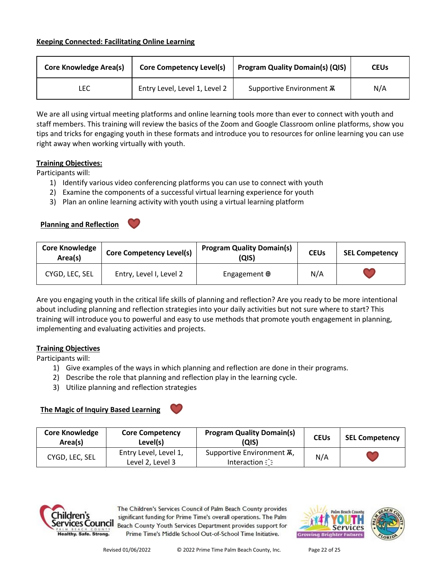| <b>Core Knowledge Area(s)</b><br><b>Core Competency Level(s)</b> |                               | <b>Program Quality Domain(s) (QIS)</b> | <b>CEUs</b> |
|------------------------------------------------------------------|-------------------------------|----------------------------------------|-------------|
| LEC                                                              | Entry Level, Level 1, Level 2 | Supportive Environment <b>A</b>        | N/A         |

We are all using virtual meeting platforms and online learning tools more than ever to connect with youth and staff members. This training will review the basics of the Zoom and Google Classroom online platforms, show you tips and tricks for engaging youth in these formats and introduce you to resources for online learning you can use right away when working virtually with youth.

#### **Training Objectives:**

Participants will:

- 1) Identify various video conferencing platforms you can use to connect with youth
- 2) Examine the components of a successful virtual learning experience for youth
- 3) Plan an online learning activity with youth using a virtual learning platform

#### **Planning and Reflection**

| <b>Core Knowledge</b><br>Area(s) | <b>Core Competency Level(s)</b> | <b>Program Quality Domain(s)</b><br>(QIS) | <b>CEUs</b> | <b>SEL Competency</b> |
|----------------------------------|---------------------------------|-------------------------------------------|-------------|-----------------------|
| CYGD, LEC, SEL                   | Entry, Level I, Level 2         | Engagement $\oplus$                       | N/A         |                       |

Are you engaging youth in the critical life skills of planning and reflection? Are you ready to be more intentional about including planning and reflection strategies into your daily activities but not sure where to start? This training will introduce you to powerful and easy to use methods that promote youth engagement in planning, implementing and evaluating activities and projects.

#### **Training Objectives**

Participants will:

- 1) Give examples of the ways in which planning and reflection are done in their programs.
- 2) Describe the role that planning and reflection play in the learning cycle.
- 3) Utilize planning and reflection strategies

#### **The Magic of Inquiry Based Learning**

| <b>Core Knowledge</b><br>Area(s) | <b>Core Competency</b><br>Level(s)        | <b>Program Quality Domain(s)</b><br>(QIS)       | <b>CEUs</b> | <b>SEL Competency</b> |
|----------------------------------|-------------------------------------------|-------------------------------------------------|-------------|-----------------------|
| CYGD, LEC, SEL                   | Entry Level, Level 1,<br>Level 2, Level 3 | Supportive Environment A,<br><b>Interaction</b> | N/A         |                       |



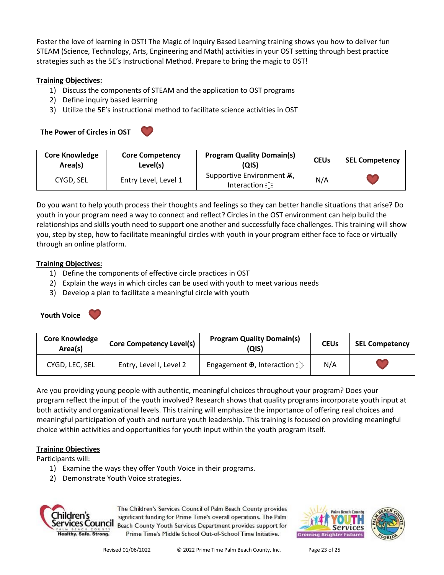Foster the love of learning in OST! The Magic of Inquiry Based Learning training shows you how to deliver fun STEAM (Science, Technology, Arts, Engineering and Math) activities in your OST setting through best practice strategies such as the 5E's Instructional Method. Prepare to bring the magic to OST!

## **Training Objectives:**

- 1) Discuss the components of STEAM and the application to OST programs
- 2) Define inquiry based learning
- 3) Utilize the 5E's instructional method to facilitate science activities in OST

## **The Power of Circles in OST**

| × |
|---|

| <b>Core Knowledge</b><br>Area(s) | <b>Core Competency</b><br>Level(s) | <b>Program Quality Domain(s)</b><br>(QIS)       | <b>CEUs</b> | <b>SEL Competency</b> |
|----------------------------------|------------------------------------|-------------------------------------------------|-------------|-----------------------|
| CYGD, SEL                        | Entry Level, Level 1               | Supportive Environment A,<br><b>Interaction</b> | N/A         |                       |

Do you want to help youth process their thoughts and feelings so they can better handle situations that arise? Do youth in your program need a way to connect and reflect? Circles in the OST environment can help build the relationships and skills youth need to support one another and successfully face challenges. This training will show you, step by step, how to facilitate meaningful circles with youth in your program either face to face or virtually through an online platform.

## **Training Objectives:**

- 1) Define the components of effective circle practices in OST
- 2) Explain the ways in which circles can be used with youth to meet various needs
- 3) Develop a plan to facilitate a meaningful circle with youth



| <b>Core Knowledge</b><br>Area(s) | Core Competency Level(s) | <b>Program Quality Domain(s)</b><br>(QIS)            | <b>CEUs</b> | <b>SEL Competency</b> |
|----------------------------------|--------------------------|------------------------------------------------------|-------------|-----------------------|
| CYGD, LEC, SEL                   | Entry, Level I, Level 2  | Engagement $\oplus$ , Interaction $\hat{\mathbb{C}}$ | N/A         | <b>AM</b>             |

Are you providing young people with authentic, meaningful choices throughout your program? Does your program reflect the input of the youth involved? Research shows that quality programs incorporate youth input at both activity and organizational levels. This training will emphasize the importance of offering real choices and meaningful participation of youth and nurture youth leadership. This training is focused on providing meaningful choice within activities and opportunities for youth input within the youth program itself.

## **Training Objectives**

Participants will:

- 1) Examine the ways they offer Youth Voice in their programs.
- 2) Demonstrate Youth Voice strategies.



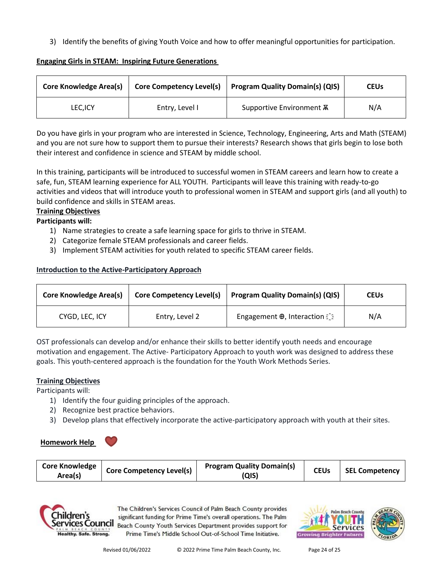3) Identify the benefits of giving Youth Voice and how to offer meaningful opportunities for participation.

## **Engaging Girls in STEAM: Inspiring Future Generations**

| <b>Core Knowledge Area(s)</b> |                | Core Competency Level(s) Program Quality Domain(s) (QIS) | <b>CEUs</b> |
|-------------------------------|----------------|----------------------------------------------------------|-------------|
| LEC, ICY                      | Entry, Level I | Supportive Environment <b>A</b>                          | N/A         |

Do you have girls in your program who are interested in Science, Technology, Engineering, Arts and Math (STEAM) and you are not sure how to support them to pursue their interests? Research shows that girls begin to lose both their interest and confidence in science and STEAM by middle school.

In this training, participants will be introduced to successful women in STEAM careers and learn how to create a safe, fun, STEAM learning experience for ALL YOUTH. Participants will leave this training with ready-to-go activities and videos that will introduce youth to professional women in STEAM and support girls (and all youth) to build confidence and skills in STEAM areas.

## **Training Objectives**

**Participants will:**

- 1) Name strategies to create a safe learning space for girls to thrive in STEAM.
- 2) Categorize female STEAM professionals and career fields.
- 3) Implement STEAM activities for youth related to specific STEAM career fields.

## **Introduction to the Active-Participatory Approach**

| <b>Core Knowledge Area(s)</b> | <b>Core Competency Level(s)</b> | <b>Program Quality Domain(s) (QIS)</b>               | <b>CEUs</b> |
|-------------------------------|---------------------------------|------------------------------------------------------|-------------|
| CYGD, LEC, ICY                | Entry, Level 2                  | Engagement $\oplus$ , Interaction $\hat{\mathbb{C}}$ | N/A         |

OST professionals can develop and/or enhance their skills to better identify youth needs and encourage motivation and engagement. The Active- Participatory Approach to youth work was designed to address these goals. This youth-centered approach is the foundation for the Youth Work Methods Series.

#### **Training Objectives**

Participants will:

- 1) Identify the four guiding principles of the approach.
- 2) Recognize best practice behaviors.
- 3) Develop plans that effectively incorporate the active-participatory approach with youth at their sites.

#### **Homework Help**

| <b>Core Knowledge</b><br>Area(s) | <b>Core Competency Level(s)</b> | <b>Program Quality Domain(s)</b><br>(QIS) | <b>CEUs</b> | <b>SEL Competency</b> |
|----------------------------------|---------------------------------|-------------------------------------------|-------------|-----------------------|
|----------------------------------|---------------------------------|-------------------------------------------|-------------|-----------------------|